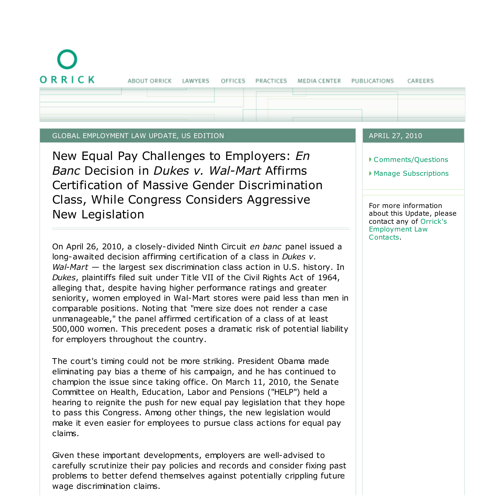ORRICK

#### GLOBAL EMPLOYMENT LAW UPDATE, US EDITION

New Equal Pay Challenges to Employers: *En Banc* Decision in *Dukes v. Wal-Mart* Affirms Certification of Massive Gender Discrimination Class, While Congress Considers Aggressive New Legislation

On April 26, 2010, a closely-divided Ninth Circuit *en banc* panel issued a long-awaited decision affirming certification of a class in *Dukes v. Wal-Mart* — the largest sex discrimination class action in U.S. history. In *Dukes*, plaintiffs filed suit under Title VII of the Civil Rights Act of 1964, alleging that, despite having higher performance ratings and greater seniority, women employed in Wal-Mart stores were paid less than men in comparable positions. Noting that "mere size does not render a case unmanageable," the panel affirmed certification of a class of at least 500,000 women. This precedent poses a dramatic risk of potential liability for employers throughout the country.

The court's timing could not be more striking. President Obama made eliminating pay bias a theme of his campaign, and he has continued to champion the issue since taking office. On March 11, 2010, the Senate Committee on Health, Education, Labor and Pensions ("HELP") held a hearing to reignite the push for new equal pay legislation that they hope to pass this Congress. Among other things, the new legislation would make it even easier for employees to pursue class actions for equal pay claims.

Given these important developments, employers are well-advised to carefully scrutinize their pay policies and records and consider fixing past problems to better defend themselves against potentially crippling future wage discrimination claims.

### APRIL 27, 2010

Comments/Questions

CAREERS

Manage Subscriptions

For more information about this Update, please contact any of Orrick's Employment Law Contacts.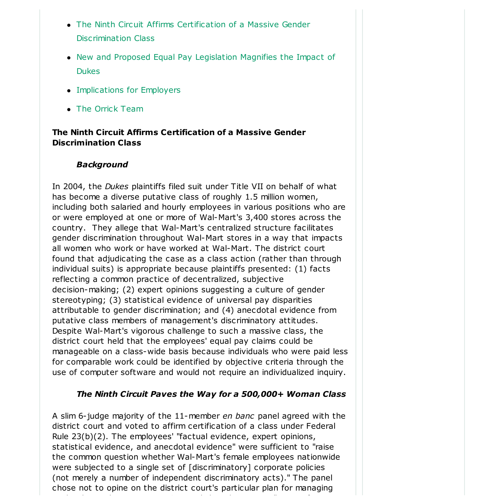- The Ninth Circuit Affirms Certification of a Massive Gender Discrimination Class
- New and Proposed Equal Pay Legislation Magnifies the Impact of Dukes
- Implications for Employers
- The Orrick Team

# **The Ninth Circuit Affirms Certification of a Massive Gender Discrimination Class**

## *Background*

In 2004, the *Dukes* plaintiffs filed suit under Title VII on behalf of what has become a diverse putative class of roughly 1.5 million women, including both salaried and hourly employees in various positions who are or were employed at one or more of Wal-Mart's 3,400 stores across the country. They allege that Wal-Mart's centralized structure facilitates gender discrimination throughout Wal-Mart stores in a way that impacts all women who work or have worked at Wal-Mart. The district court found that adjudicating the case as a class action (rather than through individual suits) is appropriate because plaintiffs presented: (1) facts reflecting a common practice of decentralized, subjective decision-making; (2) expert opinions suggesting a culture of gender stereotyping; (3) statistical evidence of universal pay disparities attributable to gender discrimination; and (4) anecdotal evidence from putative class members of management's discriminatory attitudes. Despite Wal-Mart's vigorous challenge to such a massive class, the district court held that the employees' equal pay claims could be manageable on a class-wide basis because individuals who were paid less for comparable work could be identified by objective criteria through the use of computer software and would not require an individualized inquiry.

# *The Ninth Circuit Paves the Way for a 500,000+ Woman Class*

A slim 6- judge majority of the 11-member *en banc* panel agreed with the district court and voted to affirm certification of a class under Federal Rule 23(b)(2). The employees' "factual evidence, expert opinions, statistical evidence, and anecdotal evidence" were sufficient to "raise the common question whether Wal-Mart's female employees nationwide were subjected to a single set of [discriminatory] corporate policies (not merely a number of independent discriminatory acts)." The panel chose not to opine on the district court's particular plan for managing

such a huge class. However, it noted that there are a "range of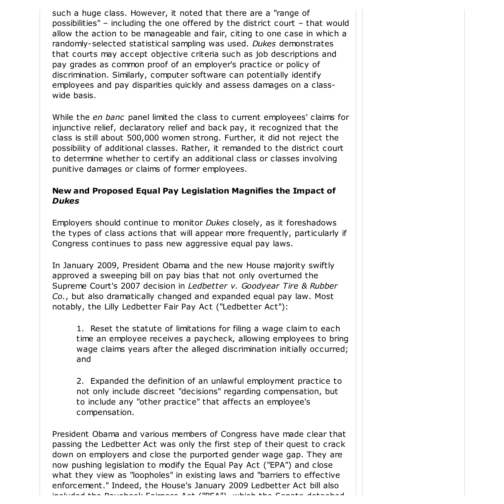such a huge class. However, it noted that there are a "range of possibilities" – including the one offered by the district court – that would allow the action to be manageable and fair, citing to one case in which a randomly-selected statistical sampling was used. *Dukes* demonstrates that courts may accept objective criteria such as job descriptions and pay grades as common proof of an employer's practice or policy of discrimination. Similarly, computer software can potentially identify employees and pay disparities quickly and assess damages on a classwide basis.

While the *en banc* panel limited the class to current employees' claims for injunctive relief, declaratory relief and back pay, it recognized that the class is still about 500,000 women strong. Further, it did not reject the possibility of additional classes. Rather, it remanded to the district court to determine whether to certify an additional class or classes involving punitive damages or claims of former employees.

## **New and Proposed Equal Pay Legislation Magnifies the Impact of** *Dukes*

Employers should continue to monitor *Dukes* closely, as it foreshadows the types of class actions that will appear more frequently, particularly if Congress continues to pass new aggressive equal pay laws.

In January 2009, President Obama and the new House majority swiftly approved a sweeping bill on pay bias that not only overturned the Supreme Court's 2007 decision in *Ledbetter v. Goodyear Tire & Rubber Co.*, but also dramatically changed and expanded equal pay law. Most notably, the Lilly Ledbetter Fair Pay Act ("Ledbetter Act"):

1. Reset the statute of limitations for filing a wage claim to each time an employee receives a paycheck, allowing employees to bring wage claims years after the alleged discrimination initially occurred; and

2. Expanded the definition of an unlawful employment practice to not only include discreet "decisions" regarding compensation, but to include any "other practice" that affects an employee's compensation.

President Obama and various members of Congress have made clear that passing the Ledbetter Act was only the first step of their quest to crack down on employers and close the purported gender wage gap. They are now pushing legislation to modify the Equal Pay Act ("EPA") and close what they view as "loopholes" in existing laws and "barriers to effective enforcement." Indeed, the House's January 2009 Ledbetter Act bill also included the Paycheck Fairness Act ("PFA"), which the Senate detached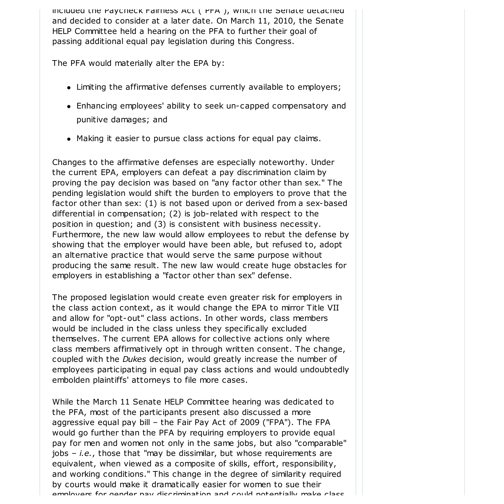included the Paycheck Fairness Act ("PFA"), which the Senate detached and decided to consider at a later date. On March 11, 2010, the Senate HELP Committee held a hearing on the PFA to further their goal of passing additional equal pay legislation during this Congress.

The PFA would materially alter the EPA by:

- Limiting the affirmative defenses currently available to employers;
- Enhancing employees' ability to seek un-capped compensatory and punitive damages; and
- Making it easier to pursue class actions for equal pay claims.

Changes to the affirmative defenses are especially noteworthy. Under the current EPA, employers can defeat a pay discrimination claim by proving the pay decision was based on "any factor other than sex." The pending legislation would shift the burden to employers to prove that the factor other than sex: (1) is not based upon or derived from a sex-based differential in compensation; (2) is job-related with respect to the position in question; and (3) is consistent with business necessity. Furthermore, the new law would allow employees to rebut the defense by showing that the employer would have been able, but refused to, adopt an alternative practice that would serve the same purpose without producing the same result. The new law would create huge obstacles for employers in establishing a "factor other than sex" defense.

The proposed legislation would create even greater risk for employers in the class action context, as it would change the EPA to mirror Title VII and allow for "opt-out" class actions. In other words, class members would be included in the class unless they specifically excluded themselves. The current EPA allows for collective actions only where class members affirmatively opt in through written consent. The change, coupled with the *Dukes* decision, would greatly increase the number of employees participating in equal pay class actions and would undoubtedly embolden plaintiffs' attorneys to file more cases.

While the March 11 Senate HELP Committee hearing was dedicated to the PFA, most of the participants present also discussed a more aggressive equal pay bill – the Fair Pay Act of 2009 ("FPA"). The FPA would go further than the PFA by requiring employers to provide equal pay for men and women not only in the same jobs, but also "comparable" jobs – *i.e.*, those that "may be dissimilar, but whose requirements are equivalent, when viewed as a composite of skills, effort, responsibility, and working conditions." This change in the degree of similarity required by courts would make it dramatically easier for women to sue their employers for gender pay discrimination and could potentially make class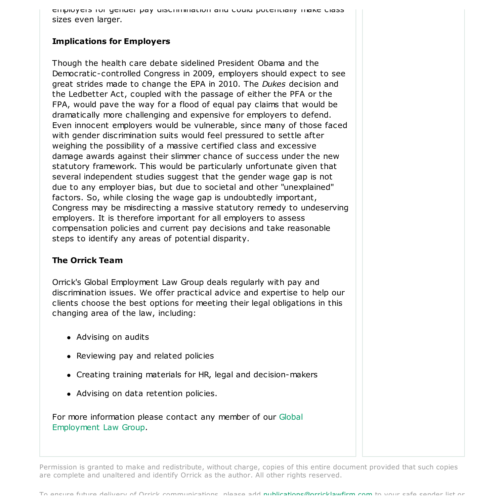employers for gender pay discrimination and could potentially make class sizes even larger.

## **Implications for Employers**

Though the health care debate sidelined President Obama and the Democratic-controlled Congress in 2009, employers should expect to see great strides made to change the EPA in 2010. The *Dukes* decision and the Ledbetter Act, coupled with the passage of either the PFA or the FPA, would pave the way for a flood of equal pay claims that would be dramatically more challenging and expensive for employers to defend. Even innocent employers would be vulnerable, since many of those faced with gender discrimination suits would feel pressured to settle after weighing the possibility of a massive certified class and excessive damage awards against their slimmer chance of success under the new statutory framework. This would be particularly unfortunate given that several independent studies suggest that the gender wage gap is not due to any employer bias, but due to societal and other "unexplained" factors. So, while closing the wage gap is undoubtedly important, Congress may be misdirecting a massive statutory remedy to undeserving employers. It is therefore important for all employers to assess compensation policies and current pay decisions and take reasonable steps to identify any areas of potential disparity.

### **The Orrick Team**

Orrick's Global Employment Law Group deals regularly with pay and discrimination issues. We offer practical advice and expertise to help our clients choose the best options for meeting their legal obligations in this changing area of the law, including:

- Advising on audits
- Reviewing pay and related policies
- Creating training materials for HR, legal and decision-makers
- Advising on data retention policies.

For more information please contact any member of our Global Employment Law Group.

Permission is granted to make and redistribute, without charge, copies of this entire document provided that such copies are complete and unaltered and identify Orrick as the author. All other rights reserved.